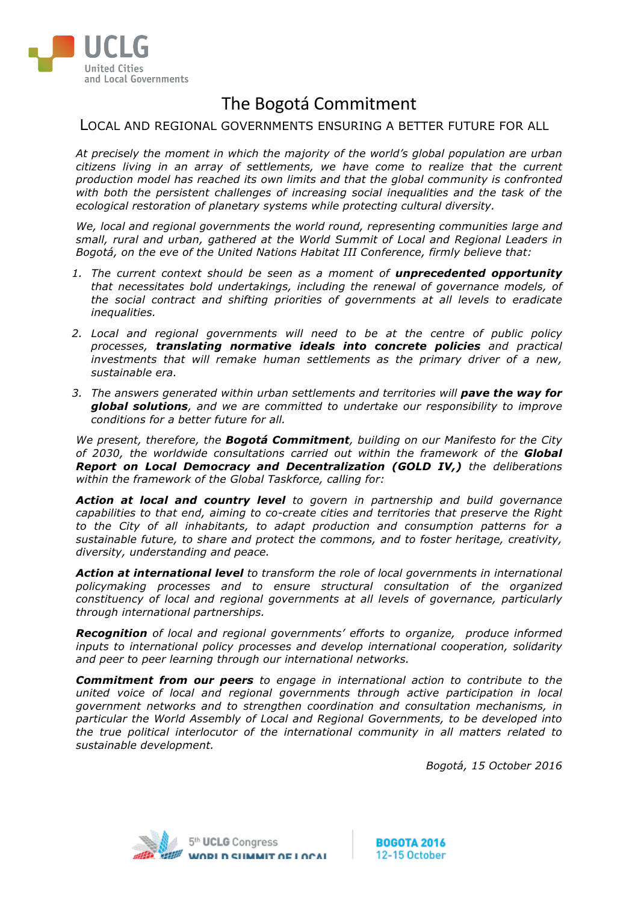

# The Bogotá Commitment

### LOCAL AND REGIONAL GOVERNMENTS ENSURING A BETTER FUTURE FOR ALL

*At precisely the moment in which the majority of the world's global population are urban citizens living in an array of settlements, we have come to realize that the current production model has reached its own limits and that the global community is confronted with both the persistent challenges of increasing social inequalities and the task of the ecological restoration of planetary systems while protecting cultural diversity.*

*We, local and regional governments the world round, representing communities large and small, rural and urban, gathered at the World Summit of Local and Regional Leaders in Bogotá, on the eve of the United Nations Habitat III Conference, firmly believe that:* 

- *1. The current context should be seen as a moment of unprecedented opportunity that necessitates bold undertakings, including the renewal of governance models, of the social contract and shifting priorities of governments at all levels to eradicate inequalities.*
- *2. Local and regional governments will need to be at the centre of public policy processes, translating normative ideals into concrete policies and practical investments that will remake human settlements as the primary driver of a new, sustainable era.*
- 3. The answers generated within urban settlements and territories will **pave the way for** *global solutions, and we are committed to undertake our responsibility to improve conditions for a better future for all.*

*We present, therefore, the Bogotá Commitment, building on our Manifesto for the City of 2030, the worldwide consultations carried out within the framework of the Global Report on Local Democracy and Decentralization (GOLD IV,) the deliberations within the framework of the Global Taskforce, calling for:* 

*Action at local and country level to govern in partnership and build governance capabilities to that end, aiming to co-create cities and territories that preserve the Right to the City of all inhabitants, to adapt production and consumption patterns for a sustainable future, to share and protect the commons, and to foster heritage, creativity, diversity, understanding and peace.* 

*Action at international level to transform the role of local governments in international policymaking processes and to ensure structural consultation of the organized constituency of local and regional governments at all levels of governance, particularly through international partnerships.*

*Recognition of local and regional governments' efforts to organize, produce informed inputs to international policy processes and develop international cooperation, solidarity and peer to peer learning through our international networks.*

*Commitment from our peers to engage in international action to contribute to the united voice of local and regional governments through active participation in local government networks and to strengthen coordination and consultation mechanisms, in particular the World Assembly of Local and Regional Governments, to be developed into the true political interlocutor of the international community in all matters related to sustainable development.* 

*Bogotá, 15 October 2016*

**BOGOTA 2016** 12-15 October

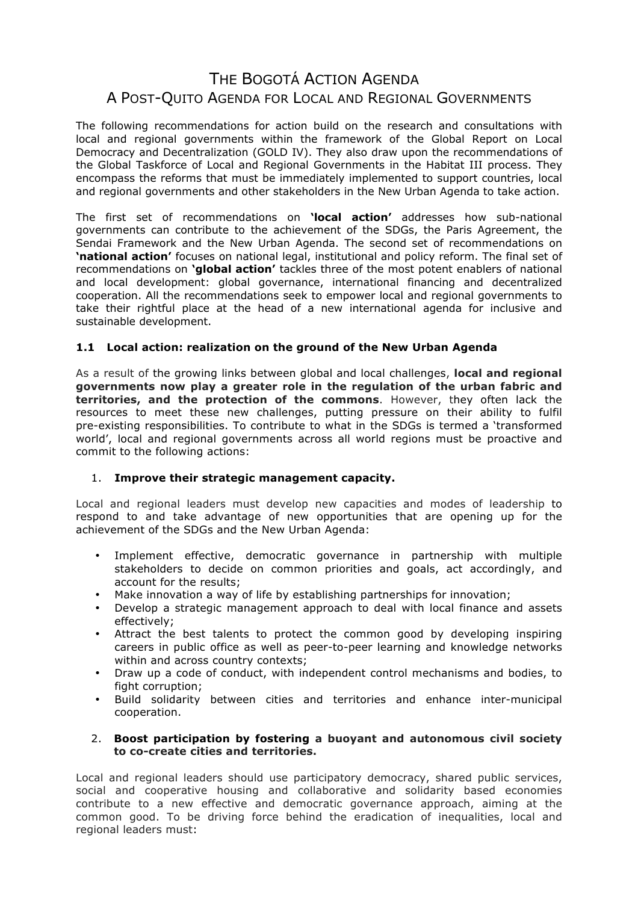## THE BOGOTÁ ACTION AGENDA A POST-QUITO AGENDA FOR LOCAL AND REGIONAL GOVERNMENTS

The following recommendations for action build on the research and consultations with local and regional governments within the framework of the Global Report on Local Democracy and Decentralization (GOLD IV). They also draw upon the recommendations of the Global Taskforce of Local and Regional Governments in the Habitat III process. They encompass the reforms that must be immediately implemented to support countries, local and regional governments and other stakeholders in the New Urban Agenda to take action.

The first set of recommendations on **'local action'** addresses how sub-national governments can contribute to the achievement of the SDGs, the Paris Agreement, the Sendai Framework and the New Urban Agenda. The second set of recommendations on **'national action'** focuses on national legal, institutional and policy reform. The final set of recommendations on **'global action'** tackles three of the most potent enablers of national and local development: global governance, international financing and decentralized cooperation. All the recommendations seek to empower local and regional governments to take their rightful place at the head of a new international agenda for inclusive and sustainable development.

#### **1.1 Local action: realization on the ground of the New Urban Agenda**

As a result of the growing links between global and local challenges, **local and regional governments now play a greater role in the regulation of the urban fabric and territories, and the protection of the commons**. However, they often lack the resources to meet these new challenges, putting pressure on their ability to fulfil pre-existing responsibilities. To contribute to what in the SDGs is termed a 'transformed world', local and regional governments across all world regions must be proactive and commit to the following actions:

#### 1. **Improve their strategic management capacity.**

Local and regional leaders must develop new capacities and modes of leadership to respond to and take advantage of new opportunities that are opening up for the achievement of the SDGs and the New Urban Agenda:

- Implement effective, democratic governance in partnership with multiple stakeholders to decide on common priorities and goals, act accordingly, and account for the results;
- Make innovation a way of life by establishing partnerships for innovation;
- Develop a strategic management approach to deal with local finance and assets effectively;
- Attract the best talents to protect the common good by developing inspiring careers in public office as well as peer-to-peer learning and knowledge networks within and across country contexts;
- Draw up a code of conduct, with independent control mechanisms and bodies, to fight corruption;
- Build solidarity between cities and territories and enhance inter-municipal cooperation.

#### 2. **Boost participation by fostering a buoyant and autonomous civil society to co-create cities and territories.**

Local and regional leaders should use participatory democracy, shared public services, social and cooperative housing and collaborative and solidarity based economies contribute to a new effective and democratic governance approach, aiming at the common good. To be driving force behind the eradication of inequalities, local and regional leaders must: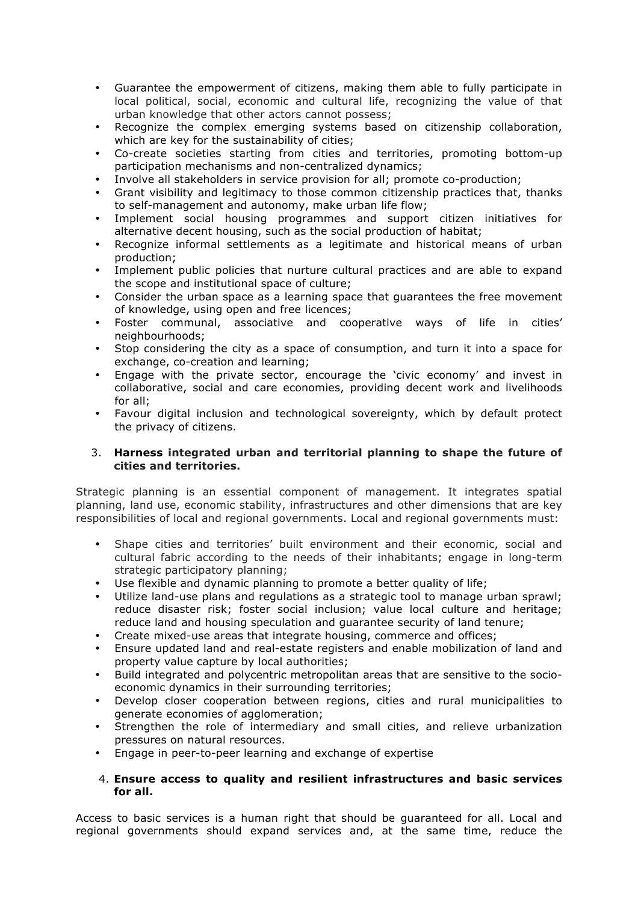- Guarantee the empowerment of citizens, making them able to fully participate in local political, social, economic and cultural life, recognizing the value of that urban knowledge that other actors cannot possess;
- Recognize the complex emerging systems based on citizenship collaboration, which are key for the sustainability of cities;
- Co-create societies starting from cities and territories, promoting bottom-up participation mechanisms and non-centralized dynamics;
- Involve all stakeholders in service provision for all; promote co-production;
- Grant visibility and legitimacy to those common citizenship practices that, thanks to self-management and autonomy, make urban life flow;
- Implement social housing programmes and support citizen initiatives for alternative decent housing, such as the social production of habitat;
- Recognize informal settlements as a legitimate and historical means of urban production;
- Implement public policies that nurture cultural practices and are able to expand the scope and institutional space of culture;
- Consider the urban space as a learning space that guarantees the free movement of knowledge, using open and free licences;
- Foster communal, associative and cooperative ways of life in cities' neighbourhoods;
- Stop considering the city as a space of consumption, and turn it into a space for exchange, co-creation and learning;
- Engage with the private sector, encourage the 'civic economy' and invest in collaborative, social and care economies, providing decent work and livelihoods for all;
- Favour digital inclusion and technological sovereignty, which by default protect the privacy of citizens.

#### 3. **Harness integrated urban and territorial planning to shape the future of cities and territories.**

Strategic planning is an essential component of management. It integrates spatial planning, land use, economic stability, infrastructures and other dimensions that are key responsibilities of local and regional governments. Local and regional governments must:

- Shape cities and territories' built environment and their economic, social and cultural fabric according to the needs of their inhabitants; engage in long-term strategic participatory planning;
- Use flexible and dynamic planning to promote a better quality of life;
- Utilize land-use plans and regulations as a strategic tool to manage urban sprawl; reduce disaster risk; foster social inclusion; value local culture and heritage; reduce land and housing speculation and guarantee security of land tenure;
- Create mixed-use areas that integrate housing, commerce and offices;
- Ensure updated land and real-estate registers and enable mobilization of land and property value capture by local authorities;
- Build integrated and polycentric metropolitan areas that are sensitive to the socioeconomic dynamics in their surrounding territories;
- Develop closer cooperation between regions, cities and rural municipalities to generate economies of agglomeration;
- Strengthen the role of intermediary and small cities, and relieve urbanization pressures on natural resources.
- Engage in peer-to-peer learning and exchange of expertise

#### 4. **Ensure access to quality and resilient infrastructures and basic services for all.**

Access to basic services is a human right that should be guaranteed for all. Local and regional governments should expand services and, at the same time, reduce the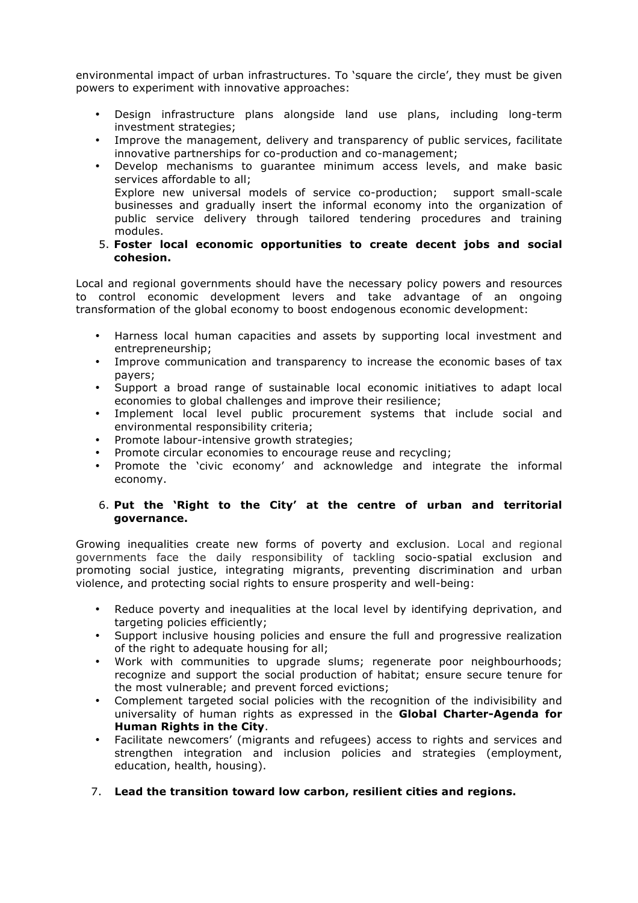environmental impact of urban infrastructures. To 'square the circle', they must be given powers to experiment with innovative approaches:

- Design infrastructure plans alongside land use plans, including long-term investment strategies;
- Improve the management, delivery and transparency of public services, facilitate innovative partnerships for co-production and co-management;
- Develop mechanisms to guarantee minimum access levels, and make basic services affordable to all; Explore new universal models of service co-production; support small-scale businesses and gradually insert the informal economy into the organization of public service delivery through tailored tendering procedures and training modules.
- 5. **Foster local economic opportunities to create decent jobs and social cohesion.**

Local and regional governments should have the necessary policy powers and resources to control economic development levers and take advantage of an ongoing transformation of the global economy to boost endogenous economic development:

- Harness local human capacities and assets by supporting local investment and entrepreneurship;
- Improve communication and transparency to increase the economic bases of tax payers;
- Support a broad range of sustainable local economic initiatives to adapt local economies to global challenges and improve their resilience;
- Implement local level public procurement systems that include social and environmental responsibility criteria;
- Promote labour-intensive growth strategies;
- Promote circular economies to encourage reuse and recycling;
- Promote the 'civic economy' and acknowledge and integrate the informal economy.

#### 6. **Put the 'Right to the City' at the centre of urban and territorial governance.**

Growing inequalities create new forms of poverty and exclusion. Local and regional governments face the daily responsibility of tackling socio-spatial exclusion and promoting social justice, integrating migrants, preventing discrimination and urban violence, and protecting social rights to ensure prosperity and well-being:

- Reduce poverty and inequalities at the local level by identifying deprivation, and targeting policies efficiently;
- Support inclusive housing policies and ensure the full and progressive realization of the right to adequate housing for all;
- Work with communities to upgrade slums; regenerate poor neighbourhoods; recognize and support the social production of habitat; ensure secure tenure for the most vulnerable; and prevent forced evictions;
- Complement targeted social policies with the recognition of the indivisibility and universality of human rights as expressed in the **Global Charter-Agenda for Human Rights in the City**.
- Facilitate newcomers' (migrants and refugees) access to rights and services and strengthen integration and inclusion policies and strategies (employment, education, health, housing).
- 7. **Lead the transition toward low carbon, resilient cities and regions.**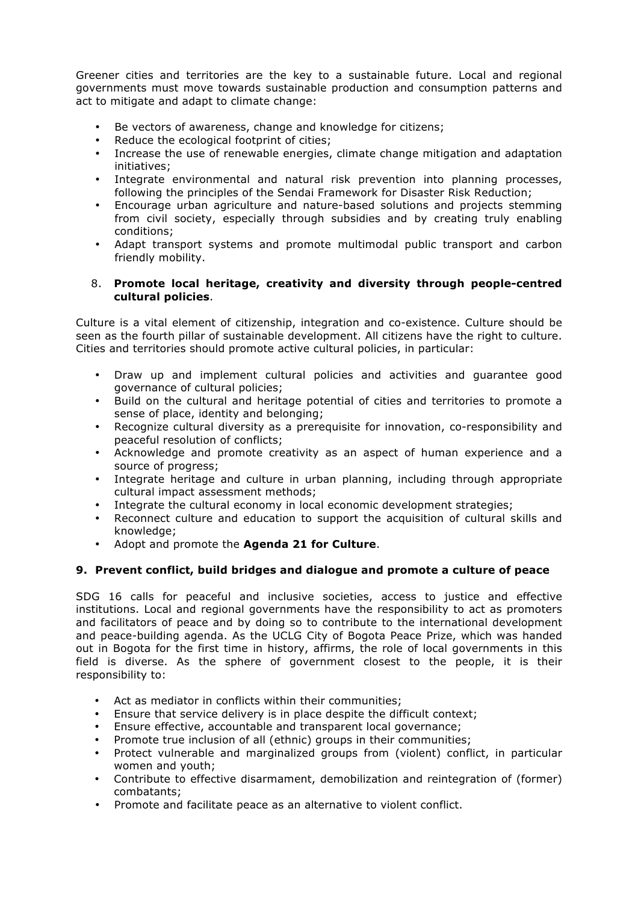Greener cities and territories are the key to a sustainable future. Local and regional governments must move towards sustainable production and consumption patterns and act to mitigate and adapt to climate change:

- Be vectors of awareness, change and knowledge for citizens;
- Reduce the ecological footprint of cities;
- Increase the use of renewable energies, climate change mitigation and adaptation initiatives;
- Integrate environmental and natural risk prevention into planning processes, following the principles of the Sendai Framework for Disaster Risk Reduction;
- Encourage urban agriculture and nature-based solutions and projects stemming from civil society, especially through subsidies and by creating truly enabling conditions;
- Adapt transport systems and promote multimodal public transport and carbon friendly mobility.

#### 8. **Promote local heritage, creativity and diversity through people-centred cultural policies**.

Culture is a vital element of citizenship, integration and co-existence. Culture should be seen as the fourth pillar of sustainable development. All citizens have the right to culture. Cities and territories should promote active cultural policies, in particular:

- Draw up and implement cultural policies and activities and guarantee good governance of cultural policies;
- Build on the cultural and heritage potential of cities and territories to promote a sense of place, identity and belonging;
- Recognize cultural diversity as a prerequisite for innovation, co-responsibility and peaceful resolution of conflicts;
- Acknowledge and promote creativity as an aspect of human experience and a source of progress;
- Integrate heritage and culture in urban planning, including through appropriate cultural impact assessment methods;
- Integrate the cultural economy in local economic development strategies;
- Reconnect culture and education to support the acquisition of cultural skills and knowledge;
- Adopt and promote the **Agenda 21 for Culture**.

#### **9. Prevent conflict, build bridges and dialogue and promote a culture of peace**

SDG 16 calls for peaceful and inclusive societies, access to justice and effective institutions. Local and regional governments have the responsibility to act as promoters and facilitators of peace and by doing so to contribute to the international development and peace-building agenda. As the UCLG City of Bogota Peace Prize, which was handed out in Bogota for the first time in history, affirms, the role of local governments in this field is diverse. As the sphere of government closest to the people, it is their responsibility to:

- Act as mediator in conflicts within their communities;
- Ensure that service delivery is in place despite the difficult context;
- Ensure effective, accountable and transparent local governance;<br>• Promoto true inclusion of all (othnic) groups in their communities
- Promote true inclusion of all (ethnic) groups in their communities;
- Protect vulnerable and marginalized groups from (violent) conflict, in particular women and youth;
- Contribute to effective disarmament, demobilization and reintegration of (former) combatants;
- Promote and facilitate peace as an alternative to violent conflict.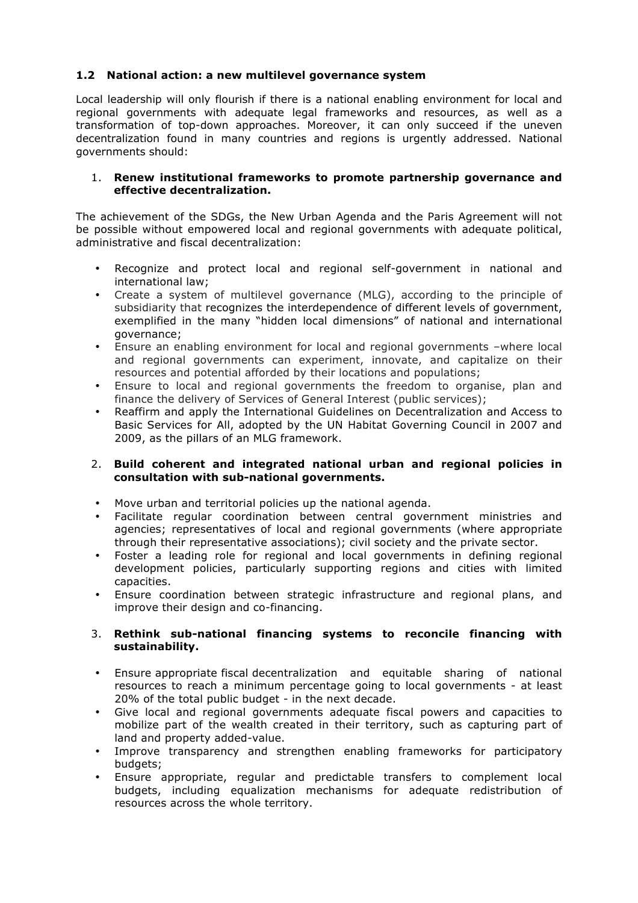#### **1.2 National action: a new multilevel governance system**

Local leadership will only flourish if there is a national enabling environment for local and regional governments with adequate legal frameworks and resources, as well as a transformation of top-down approaches. Moreover, it can only succeed if the uneven decentralization found in many countries and regions is urgently addressed. National governments should:

#### 1. **Renew institutional frameworks to promote partnership governance and effective decentralization.**

The achievement of the SDGs, the New Urban Agenda and the Paris Agreement will not be possible without empowered local and regional governments with adequate political, administrative and fiscal decentralization:

- Recognize and protect local and regional self-government in national and international law;
- Create a system of multilevel governance (MLG), according to the principle of subsidiarity that recognizes the interdependence of different levels of government, exemplified in the many "hidden local dimensions" of national and international governance;
- Ensure an enabling environment for local and regional governments –where local and regional governments can experiment, innovate, and capitalize on their resources and potential afforded by their locations and populations;
- Ensure to local and regional governments the freedom to organise, plan and finance the delivery of Services of General Interest (public services);
- Reaffirm and apply the International Guidelines on Decentralization and Access to Basic Services for All, adopted by the UN Habitat Governing Council in 2007 and 2009, as the pillars of an MLG framework.

#### 2. **Build coherent and integrated national urban and regional policies in consultation with sub-national governments.**

- Move urban and territorial policies up the national agenda.
- Facilitate regular coordination between central government ministries and agencies; representatives of local and regional governments (where appropriate through their representative associations); civil society and the private sector.
- Foster a leading role for regional and local governments in defining regional development policies, particularly supporting regions and cities with limited capacities.
- Ensure coordination between strategic infrastructure and regional plans, and improve their design and co-financing.

#### 3. **Rethink sub-national financing systems to reconcile financing with sustainability.**

- Ensure appropriate fiscal decentralization and equitable sharing of national resources to reach a minimum percentage going to local governments - at least 20% of the total public budget - in the next decade.
- Give local and regional governments adequate fiscal powers and capacities to mobilize part of the wealth created in their territory, such as capturing part of land and property added-value.
- Improve transparency and strengthen enabling frameworks for participatory budgets;
- Ensure appropriate, regular and predictable transfers to complement local budgets, including equalization mechanisms for adequate redistribution of resources across the whole territory.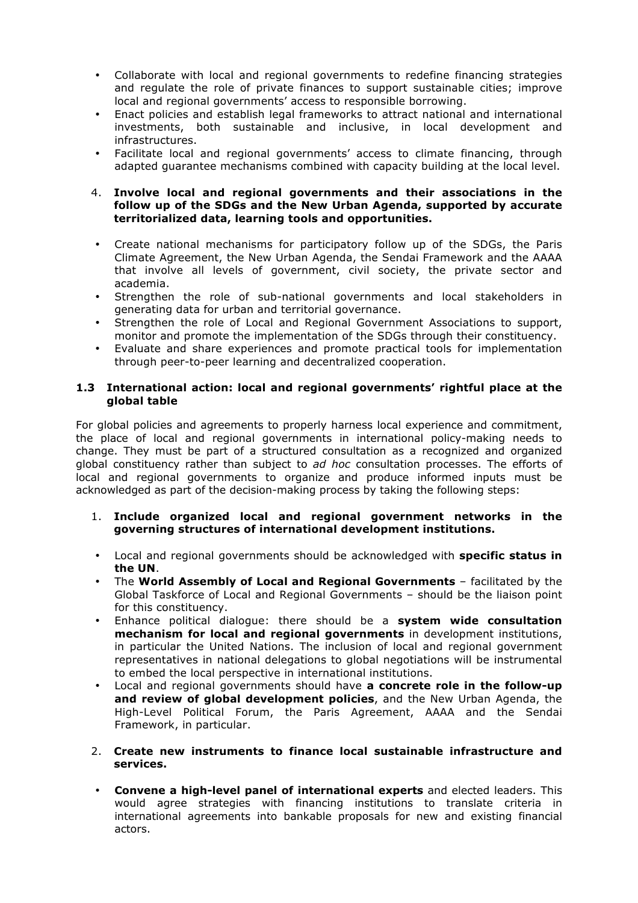- Collaborate with local and regional governments to redefine financing strategies and regulate the role of private finances to support sustainable cities; improve local and regional governments' access to responsible borrowing.
- Enact policies and establish legal frameworks to attract national and international investments, both sustainable and inclusive, in local development and infrastructures.
- Facilitate local and regional governments' access to climate financing, through adapted guarantee mechanisms combined with capacity building at the local level.

#### 4. **Involve local and regional governments and their associations in the follow up of the SDGs and the New Urban Agenda, supported by accurate territorialized data, learning tools and opportunities.**

- Create national mechanisms for participatory follow up of the SDGs, the Paris Climate Agreement, the New Urban Agenda, the Sendai Framework and the AAAA that involve all levels of government, civil society, the private sector and academia.
- Strengthen the role of sub-national governments and local stakeholders in generating data for urban and territorial governance.
- Strengthen the role of Local and Regional Government Associations to support, monitor and promote the implementation of the SDGs through their constituency.
- Evaluate and share experiences and promote practical tools for implementation through peer-to-peer learning and decentralized cooperation.

#### **1.3 International action: local and regional governments' rightful place at the global table**

For global policies and agreements to properly harness local experience and commitment, the place of local and regional governments in international policy-making needs to change. They must be part of a structured consultation as a recognized and organized global constituency rather than subject to *ad hoc* consultation processes. The efforts of local and regional governments to organize and produce informed inputs must be acknowledged as part of the decision-making process by taking the following steps:

- 1. **Include organized local and regional government networks in the governing structures of international development institutions.**
- Local and regional governments should be acknowledged with **specific status in the UN**.
- The **World Assembly of Local and Regional Governments** facilitated by the Global Taskforce of Local and Regional Governments – should be the liaison point for this constituency.
- Enhance political dialogue: there should be a **system wide consultation mechanism for local and regional governments** in development institutions, in particular the United Nations. The inclusion of local and regional government representatives in national delegations to global negotiations will be instrumental to embed the local perspective in international institutions.
- Local and regional governments should have **a concrete role in the follow-up and review of global development policies**, and the New Urban Agenda, the High-Level Political Forum, the Paris Agreement, AAAA and the Sendai Framework, in particular.
- 2. **Create new instruments to finance local sustainable infrastructure and services.**
- **Convene a high-level panel of international experts** and elected leaders. This would agree strategies with financing institutions to translate criteria in international agreements into bankable proposals for new and existing financial actors.